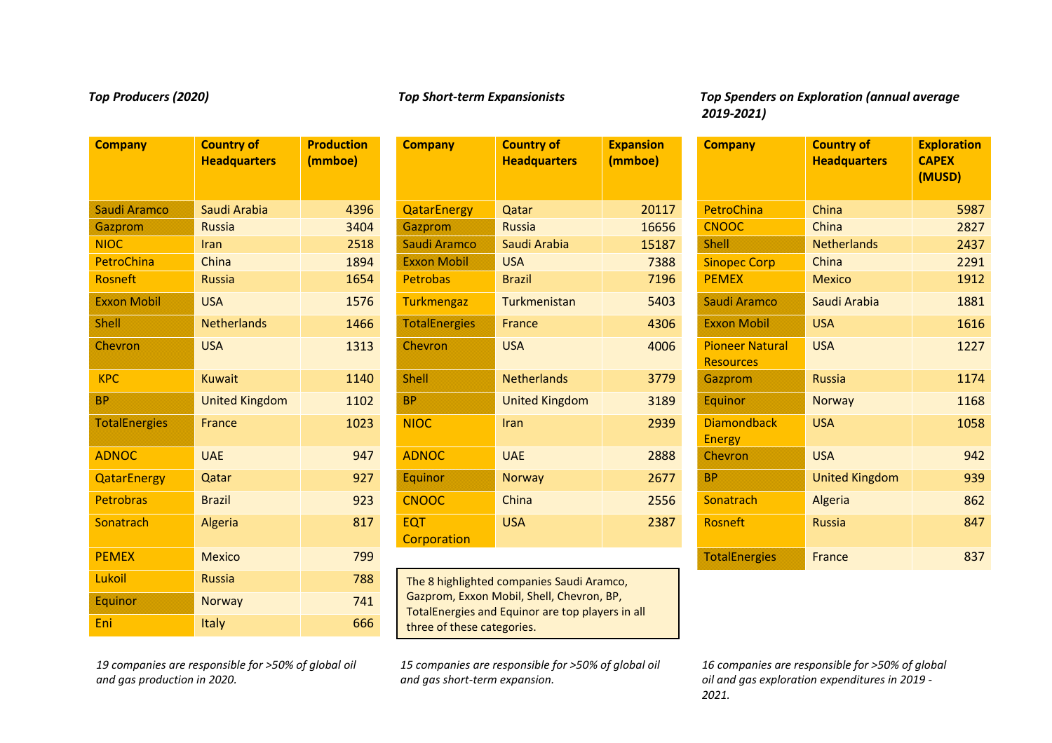| <b>Company</b>       | <b>Country of</b><br><b>Headquarters</b> | <b>Production</b><br>(mmboe) | <b>Com</b>         |
|----------------------|------------------------------------------|------------------------------|--------------------|
| Saudi Aramco         | Saudi Arabia                             | 4396                         | Qata               |
| Gazprom              | <b>Russia</b>                            | 3404                         | Gazp               |
| <b>NIOC</b>          | Iran                                     | 2518                         | Saud               |
| <b>PetroChina</b>    | China                                    | 1894                         | <b>Exxo</b>        |
| <b>Rosneft</b>       | <b>Russia</b>                            | 1654                         | Petro              |
| <b>Exxon Mobil</b>   | <b>USA</b>                               | 1576                         | <b>Turk</b>        |
| <b>Shell</b>         | <b>Netherlands</b>                       | 1466                         | Tota               |
| Chevron              | <b>USA</b>                               | 1313                         | Chev               |
| <b>KPC</b>           | <b>Kuwait</b>                            | 1140                         | Shell              |
| <b>BP</b>            | <b>United Kingdom</b>                    | 1102                         | <b>BP</b>          |
| <b>TotalEnergies</b> | <b>France</b>                            | 1023                         | NIO <sub>(</sub>   |
| <b>ADNOC</b>         | <b>UAE</b>                               | 947                          | <b>ADN</b>         |
| <b>QatarEnergy</b>   | Qatar                                    | 927                          | Equi               |
| <b>Petrobras</b>     | <b>Brazil</b>                            | 923                          | <b>CNO</b>         |
| Sonatrach            | Algeria                                  | 817                          | <b>EQT</b><br>Corp |
| <b>PEMEX</b>         | <b>Mexico</b>                            | 799                          |                    |
| Lukoil               | <b>Russia</b>                            | 788                          | <b>The</b>         |
| Equinor              | <b>Norway</b>                            | 741                          | Gazp<br>Tota       |
| Eni                  | Italy                                    | 666                          | thre               |

# **Company Country of Headquarters Expansion (mmboe)** Chevron USA 1313 Chevron USA 1906 <mark>Pioneer Natural</mark> TotalEnergies France | 1023 <mark>NIOC Iran | 2939 Diamondback</mark> **Corporation** The 8 highlighted companies Saudi Aramco,

Gazprom, Exxon Mobil, Shell, Chevron, BP, TotalEnergies and Equinor are top players in all three of these categories.

*15 companies are responsible for >50% of global oil and gas short-term expansion.*

*Top Producers (2020) Top Short-term Expansionists Top Spenders on Exploration (annual average 2019-2021)*

| <b>Company</b>       | <b>Country of</b><br><b>Headquarters</b> | <b>Production</b><br>(mmboe) | <b>Company</b>            | <b>Country of</b><br><b>Headquarters</b> | <b>Expansion</b><br>(mmboe) | <b>Company</b>                             | <b>Country of</b><br><b>Headquarters</b> | <b>Exploration</b><br><b>CAPEX</b><br>(MUSD) |
|----------------------|------------------------------------------|------------------------------|---------------------------|------------------------------------------|-----------------------------|--------------------------------------------|------------------------------------------|----------------------------------------------|
| Saudi Aramco         | Saudi Arabia                             | 4396                         | <b>QatarEnergy</b>        | Qatar                                    | 20117                       | PetroChina                                 | China                                    | 5987                                         |
| Gazprom              | Russia                                   | 3404                         | Gazprom                   | Russia                                   | 16656                       | <b>CNOOC</b>                               | China                                    | 2827                                         |
| <b>NIOC</b>          | <b>Iran</b>                              | 2518                         | Saudi Aramco              | Saudi Arabia                             | 15187                       | <b>Shell</b>                               | <b>Netherlands</b>                       | 2437                                         |
| <b>PetroChina</b>    | China                                    | 1894                         | <b>Exxon Mobil</b>        | <b>USA</b>                               | 7388                        | <b>Sinopec Corp</b>                        | China                                    | 2291                                         |
| <b>Rosneft</b>       | <b>Russia</b>                            | 1654                         | <b>Petrobas</b>           | <b>Brazil</b>                            | 7196                        | <b>PEMEX</b>                               | <b>Mexico</b>                            | 1912                                         |
| <b>Exxon Mobil</b>   | <b>USA</b>                               | 1576                         | Turkmengaz                | Turkmenistan                             | 5403                        | Saudi Aramco                               | Saudi Arabia                             | 1881                                         |
| <b>Shell</b>         | <b>Netherlands</b>                       | 1466                         | <b>TotalEnergies</b>      | France                                   | 4306                        | <b>Exxon Mobil</b>                         | <b>USA</b>                               | 1616                                         |
| Chevron              | <b>USA</b>                               | 1313                         | Chevron                   | <b>USA</b>                               | 4006                        | <b>Pioneer Natural</b><br><b>Resources</b> | <b>USA</b>                               | 1227                                         |
| <b>KPC</b>           | <b>Kuwait</b>                            | 1140                         | Shell                     | <b>Netherlands</b>                       | 3779                        | Gazprom                                    | <b>Russia</b>                            | 1174                                         |
| <b>BP</b>            | <b>United Kingdom</b>                    | 1102                         | <b>BP</b>                 | <b>United Kingdom</b>                    | 3189                        | Equinor                                    | Norway                                   | 1168                                         |
| <b>TotalEnergies</b> | France                                   | 1023                         | <b>NIOC</b>               | Iran                                     | 2939                        | <b>Diamondback</b><br><b>Energy</b>        | <b>USA</b>                               | 1058                                         |
| <b>ADNOC</b>         | <b>UAE</b>                               | 947                          | <b>ADNOC</b>              | <b>UAE</b>                               | 2888                        | Chevron                                    | <b>USA</b>                               | 942                                          |
| <b>QatarEnergy</b>   | Qatar                                    | 927                          | Equinor                   | Norway                                   | 2677                        | <b>BP</b>                                  | <b>United Kingdom</b>                    | 939                                          |
| <b>Petrobras</b>     | <b>Brazil</b>                            | 923                          | <b>CNOOC</b>              | China                                    | 2556                        | Sonatrach                                  | Algeria                                  | 862                                          |
| <b>Sonatrach</b>     | Algeria                                  | 817                          | <b>EQT</b><br>Corporation | <b>USA</b>                               | 2387                        | Rosneft                                    | <b>Russia</b>                            | 847                                          |
| <b>PEMEX</b>         | <b>Mexico</b>                            | 799                          |                           |                                          |                             | <b>TotalEnergies</b>                       | France                                   | 837                                          |

*16 companies are responsible for >50% of global oil and gas exploration expenditures in 2019 - 2021.*

*19 companies are responsible for >50% of global oil and gas production in 2020.*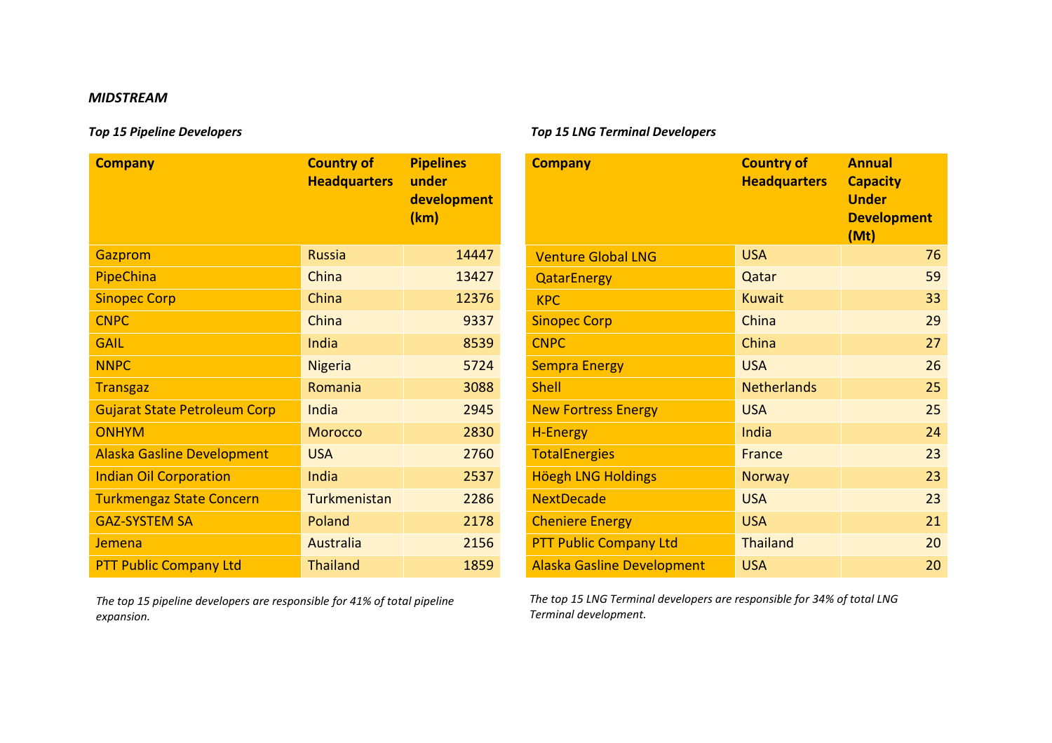## *MIDSTREAM*

| <b>Company</b>                      | <b>Country of</b><br><b>Headquarters</b> | <b>Pipelines</b><br>under<br>development<br>(km) |
|-------------------------------------|------------------------------------------|--------------------------------------------------|
| Gazprom                             | <b>Russia</b>                            | 14447                                            |
| PipeChina                           | China                                    | 13427                                            |
| <b>Sinopec Corp</b>                 | China                                    | 12376                                            |
| <b>CNPC</b>                         | China                                    | 9337                                             |
| <b>GAIL</b>                         | India                                    | 8539                                             |
| <b>NNPC</b>                         | <b>Nigeria</b>                           | 5724                                             |
| <b>Transgaz</b>                     | Romania                                  | 3088                                             |
| <b>Gujarat State Petroleum Corp</b> | India                                    | 2945                                             |
| <b>ONHYM</b>                        | <b>Morocco</b>                           | 2830                                             |
| <b>Alaska Gasline Development</b>   | <b>USA</b>                               | 2760                                             |
| <b>Indian Oil Corporation</b>       | India                                    | 2537                                             |
| <b>Turkmengaz State Concern</b>     | Turkmenistan                             | 2286                                             |
| <b>GAZ-SYSTEM SA</b>                | Poland                                   | 2178                                             |
| Jemena                              | Australia                                | 2156                                             |
| <b>PTT Public Company Ltd</b>       | <b>Thailand</b>                          | 1859                                             |

*The top 15 pipeline developers are responsible for 41% of total pipeline expansion.*

## *Top 15 Pipeline Developers Top 15 LNG Terminal Developers*

| <b>Company</b>                      | <b>Country of</b><br><b>Headquarters</b> | <b>Pipelines</b><br>under<br>development<br>(km) | <b>Company</b>                    | <b>Country of</b><br><b>Headquarters</b> | <b>Annual</b><br><b>Capacity</b><br><b>Under</b><br><b>Development</b><br>(Mt) |
|-------------------------------------|------------------------------------------|--------------------------------------------------|-----------------------------------|------------------------------------------|--------------------------------------------------------------------------------|
| <b>Gazprom</b>                      | <b>Russia</b>                            | 14447                                            | <b>Venture Global LNG</b>         | <b>USA</b>                               | 76                                                                             |
| <b>PipeChina</b>                    | China                                    | 13427                                            | <b>QatarEnergy</b>                | Qatar                                    | 59                                                                             |
| <b>Sinopec Corp</b>                 | China                                    | 12376                                            | <b>KPC</b>                        | <b>Kuwait</b>                            | 33                                                                             |
| <b>CNPC</b>                         | China                                    | 9337                                             | <b>Sinopec Corp</b>               | China                                    | 29                                                                             |
| <b>GAIL</b>                         | India                                    | 8539                                             | <b>CNPC</b>                       | China                                    | 27                                                                             |
| <b>NNPC</b>                         | <b>Nigeria</b>                           | 5724                                             | <b>Sempra Energy</b>              | <b>USA</b>                               | 26                                                                             |
| <b>Transgaz</b>                     | Romania                                  | 3088                                             | <b>Shell</b>                      | <b>Netherlands</b>                       | 25                                                                             |
| <b>Gujarat State Petroleum Corp</b> | India                                    | 2945                                             | <b>New Fortress Energy</b>        | <b>USA</b>                               | 25                                                                             |
| <b>ONHYM</b>                        | <b>Morocco</b>                           | 2830                                             | <b>H-Energy</b>                   | India                                    | 24                                                                             |
| Alaska Gasline Development          | <b>USA</b>                               | 2760                                             | <b>TotalEnergies</b>              | France                                   | 23                                                                             |
| <b>Indian Oil Corporation</b>       | India                                    | 2537                                             | Höegh LNG Holdings                | Norway                                   | 23                                                                             |
| <b>Turkmengaz State Concern</b>     | Turkmenistan                             | 2286                                             | <b>NextDecade</b>                 | <b>USA</b>                               | 23                                                                             |
| <b>GAZ-SYSTEM SA</b>                | Poland                                   | 2178                                             | <b>Cheniere Energy</b>            | <b>USA</b>                               | 21                                                                             |
| Jemena                              | Australia                                | 2156                                             | <b>PTT Public Company Ltd</b>     | <b>Thailand</b>                          | 20                                                                             |
| <b>PTT Public Company Ltd</b>       | <b>Thailand</b>                          | 1859                                             | <b>Alaska Gasline Development</b> | <b>USA</b>                               | 20                                                                             |

*The top 15 LNG Terminal developers are responsible for 34% of total LNG Terminal development.*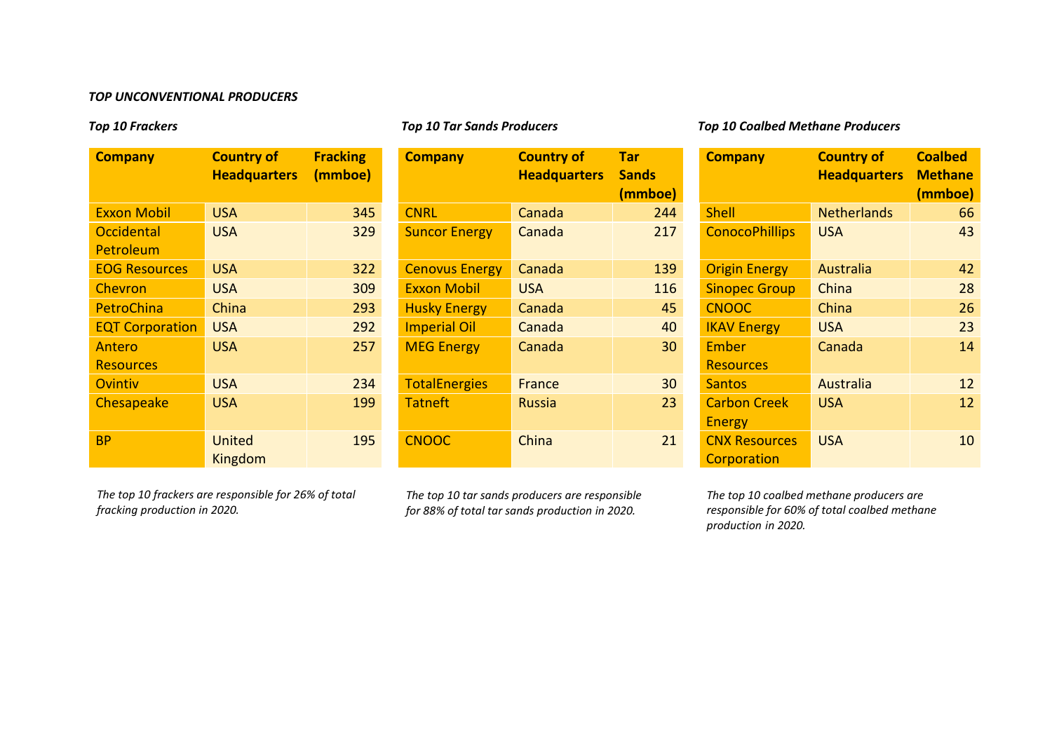## *TOP UNCONVENTIONAL PRODUCERS*

| <b>Company</b>         | <b>Country of</b><br><b>Headquarters</b> | <b>Fracking</b><br>(mmboe) |
|------------------------|------------------------------------------|----------------------------|
| <b>Exxon Mobil</b>     | <b>USA</b>                               | 345                        |
| Occidental             | <b>USA</b>                               | 329                        |
| Petroleum              |                                          |                            |
| <b>EOG Resources</b>   | USA                                      | 322                        |
| Chevron                | <b>USA</b>                               | 309                        |
| PetroChina             | China                                    | 293                        |
| <b>EQT Corporation</b> | <b>USA</b>                               | 292                        |
| Antero                 | <b>USA</b>                               | 257                        |
| <b>Resources</b>       |                                          |                            |
| Ovintiv                | <b>USA</b>                               | 234                        |
| Chesapeake             | <b>USA</b>                               | 199                        |
| ВP                     | United<br>Kingdom                        | 195                        |

| <b>Company</b>                 | <b>Country of</b><br><b>Headquarters</b> | <b>Fracking</b><br>(mmboe) | <b>Company</b>        | <b>Country of</b><br><b>Headquarters</b> | <b>Tar</b><br><b>Sands</b><br>(mmboe) | <b>Company</b>                       | <b>Country of</b><br><b>Headquarters</b> | <b>Coalbed</b><br><b>Methane</b><br>(mmboe) |
|--------------------------------|------------------------------------------|----------------------------|-----------------------|------------------------------------------|---------------------------------------|--------------------------------------|------------------------------------------|---------------------------------------------|
| <b>Exxon Mobil</b>             | <b>USA</b>                               | 345                        | <b>CNRL</b>           | Canada                                   | 244                                   | <b>Shell</b>                         | <b>Netherlands</b>                       | 66                                          |
| <b>Occidental</b><br>Petroleum | <b>USA</b>                               | 329                        | <b>Suncor Energy</b>  | Canada                                   | 217                                   | <b>ConocoPhillips</b>                | <b>USA</b>                               | 43                                          |
| <b>EOG Resources</b>           | <b>USA</b>                               | 322                        | <b>Cenovus Energy</b> | Canada                                   | 139                                   | <b>Origin Energy</b>                 | Australia                                | 42                                          |
| <b>Chevron</b>                 | <b>USA</b>                               | 309                        | <b>Exxon Mobil</b>    | <b>USA</b>                               | 116                                   | <b>Sinopec Group</b>                 | China                                    | 28                                          |
| <b>PetroChina</b>              | China                                    | 293                        | <b>Husky Energy</b>   | Canada                                   | 45                                    | <b>CNOOC</b>                         | China                                    | 26                                          |
| <b>EQT Corporation</b>         | <b>USA</b>                               | 292                        | <b>Imperial Oil</b>   | Canada                                   | 40                                    | <b>IKAV Energy</b>                   | <b>USA</b>                               | 23                                          |
| Antero<br><b>Resources</b>     | <b>USA</b>                               | 257                        | <b>MEG Energy</b>     | Canada                                   | 30                                    | Ember<br><b>Resources</b>            | Canada                                   | 14                                          |
| <b>Ovintiv</b>                 | <b>USA</b>                               | 234                        | <b>TotalEnergies</b>  | France                                   | 30 <sup>°</sup>                       | <b>Santos</b>                        | Australia                                | 12                                          |
| <b>Chesapeake</b>              | <b>USA</b>                               | 199                        | <b>Tatneft</b>        | Russia                                   | 23                                    | <b>Carbon Creek</b><br><b>Energy</b> | <b>USA</b>                               | 12                                          |
| <b>BP</b>                      | <b>United</b><br>Kingdom                 | 195                        | <b>CNOOC</b>          | China                                    | 21                                    | <b>CNX Resources</b><br>Corporation  | <b>USA</b>                               | 10                                          |

*The top 10 frackers are responsible for 26% of total fracking production in 2020.*

*The top 10 tar sands producers are responsible for 88% of total tar sands production in 2020.*

*Top 10 Frackers Top 10 Tar Sands Producers Top 10 Coalbed Methane Producers*

| <b>Company</b>        | <b>Country of</b><br><b>Headquarters</b> | <b>Coalbed</b><br><b>Methane</b><br>(mmboe) |
|-----------------------|------------------------------------------|---------------------------------------------|
| <b>Shell</b>          | <b>Netherlands</b>                       | 66                                          |
| <b>ConocoPhillips</b> | <b>USA</b>                               | 43                                          |
| <b>Origin Energy</b>  | Australia                                | 42                                          |
| <b>Sinopec Group</b>  | China                                    | 28                                          |
| <b>CNOOC</b>          | China                                    | 26                                          |
| <b>IKAV Energy</b>    | <b>USA</b>                               | 23                                          |
| Ember                 | Canada                                   | 14                                          |
| <b>Resources</b>      |                                          |                                             |
| <b>Santos</b>         | Australia                                | 12                                          |
| <b>Carbon Creek</b>   | USA                                      | 12                                          |
| <b>Energy</b>         |                                          |                                             |
| <b>CNX Resources</b>  | <b>USA</b>                               | 10                                          |
| Corporation           |                                          |                                             |

*The top 10 coalbed methane producers are responsible for 60% of total coalbed methane production in 2020.*